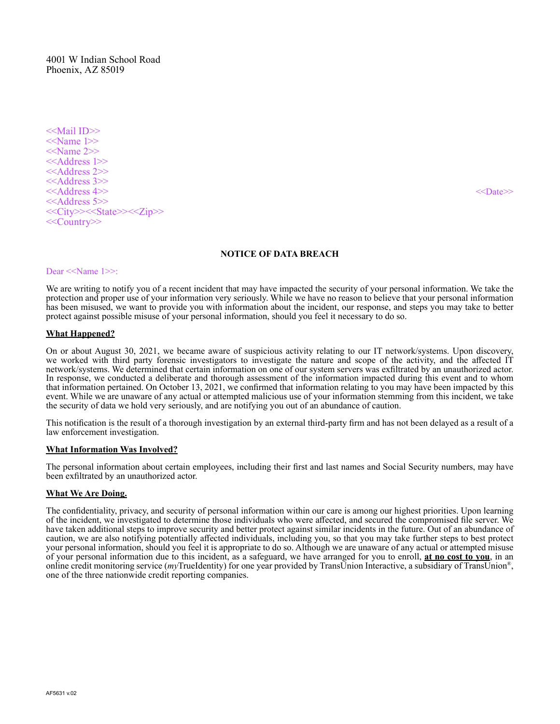4001 W Indian School Road Phoenix, AZ 85019

<<Mail ID>> <<Name 1>>  $<<$ Name 2>> <<Address 1>> <<Address 2>> <<Address 3>> <<Address 4>> <<Date>> <<Address 5>> <<City>><<State>><<Zip>> <<Country>>

## **NOTICE OF DATA BREACH**

#### Dear <<Name 1>>:

We are writing to notify you of a recent incident that may have impacted the security of your personal information. We take the protection and proper use of your information very seriously. While we have no reason to believe that your personal information has been misused, we want to provide you with information about the incident, our response, and steps you may take to better protect against possible misuse of your personal information, should you feel it necessary to do so.

## **What Happened?**

On or about August 30, 2021, we became aware of suspicious activity relating to our IT network/systems. Upon discovery, we worked with third party forensic investigators to investigate the nature and scope of the activity, and the affected IT network/systems. We determined that certain information on one of our system servers was exfiltrated by an unauthorized actor. In response, we conducted a deliberate and thorough assessment of the information impacted during this event and to whom that information pertained. On October 13, 2021, we confirmed that information relating to you may have been impacted by this event. While we are unaware of any actual or attempted malicious use of your information stemming from this incident, we take the security of data we hold very seriously, and are notifying you out of an abundance of caution.

This notification is the result of a thorough investigation by an external third-party firm and has not been delayed as a result of a law enforcement investigation.

### **What Information Was Involved?**

The personal information about certain employees, including their first and last names and Social Security numbers, may have been exfiltrated by an unauthorized actor.

## **What We Are Doing.**

The confidentiality, privacy, and security of personal information within our care is among our highest priorities. Upon learning of the incident, we investigated to determine those individuals who were affected, and secured the compromised file server. We have taken additional steps to improve security and better protect against similar incidents in the future. Out of an abundance of caution, we are also notifying potentially affected individuals, including you, so that you may take further steps to best protect your personal information, should you feel it is appropriate to do so. Although we are unaware of any actual or attempted misuse of your personal information due to this incident, as a safeguard, we have arranged for you to enroll, **at no cost to you**, in an online credit monitoring service (*my*TrueIdentity) for one year provided by TransUnion Interactive, a subsidiary of TransUnion®, one of the three nationwide credit reporting companies.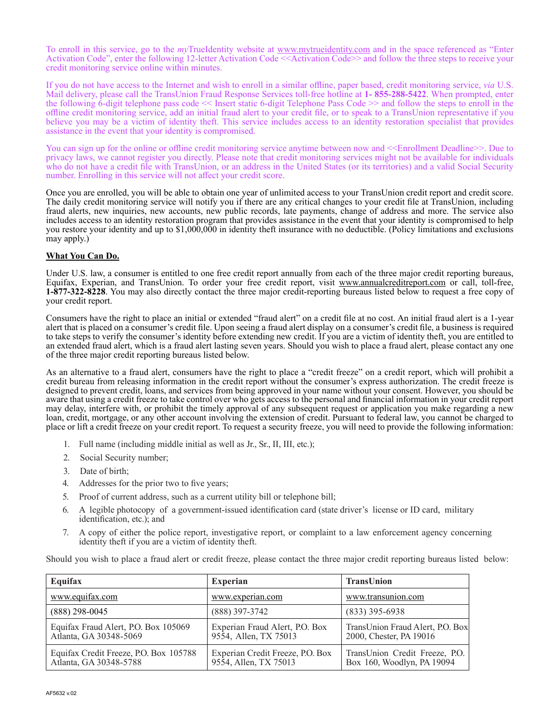To enroll in this service, go to the *my*TrueIdentity website at www.mytrueidentity.com and in the space referenced as "Enter Activation Code", enter the following 12-letter Activation Code <<Activation Code>> and follow the three steps to receive your credit monitoring service online within minutes.

If you do not have access to the Internet and wish to enroll in a similar offline, paper based, credit monitoring service, *via* U.S. Mail delivery, please call the TransUnion Fraud Response Services toll-free hotline at **1- 855-288-5422**. When prompted, enter the following 6-digit telephone pass code << Insert static 6-digit Telephone Pass Code >> and follow the steps to enroll in the offline credit monitoring service, add an initial fraud alert to your credit file, or to speak to a TransUnion representative if you believe you may be a victim of identity theft. This service includes access to an identity restoration specialist that provides assistance in the event that your identity is compromised.

You can sign up for the online or offline credit monitoring service anytime between now and <<Enrollment Deadline>>. Due to privacy laws, we cannot register you directly. Please note that credit monitoring services might not be available for individuals who do not have a credit file with TransUnion, or an address in the United States (or its territories) and a valid Social Security number. Enrolling in this service will not affect your credit score.

Once you are enrolled, you will be able to obtain one year of unlimited access to your TransUnion credit report and credit score. The daily credit monitoring service will notify you if there are any critical changes to your credit file at TransUnion, including fraud alerts, new inquiries, new accounts, new public records, late payments, change of address and more. The service also includes access to an identity restoration program that provides assistance in the event that your identity is compromised to help you restore your identity and up to \$1,000,000 in identity theft insurance with no deductible. (Policy limitations and exclusions may apply.)

# **What You Can Do.**

Under U.S. law, a consumer is entitled to one free credit report annually from each of the three major credit reporting bureaus, Equifax, Experian, and TransUnion. To order your free credit report, visit www.annualcreditreport.com or call, toll-free, **1-877-322-8228**. You may also directly contact the three major credit-reporting bureaus listed below to request a free copy of your credit report.

Consumers have the right to place an initial or extended "fraud alert" on a credit file at no cost. An initial fraud alert is a 1-year alert that is placed on a consumer's credit file. Upon seeing a fraud alert display on a consumer's credit file, a business is required to take steps to verify the consumer's identity before extending new credit. If you are a victim of identity theft, you are entitled to an extended fraud alert, which is a fraud alert lasting seven years. Should you wish to place a fraud alert, please contact any one of the three major credit reporting bureaus listed below.

As an alternative to a fraud alert, consumers have the right to place a "credit freeze" on a credit report, which will prohibit a credit bureau from releasing information in the credit report without the consumer's express authorization. The credit freeze is designed to prevent credit, loans, and services from being approved in your name without your consent. However, you should be aware that using a credit freeze to take control over who gets access to the personal and financial information in your credit report may delay, interfere with, or prohibit the timely approval of any subsequent request or application you make regarding a new loan, credit, mortgage, or any other account involving the extension of credit. Pursuant to federal law, you cannot be charged to place or lift a credit freeze on your credit report. To request a security freeze, you will need to provide the following information:

- 1. Full name (including middle initial as well as Jr., Sr., II, III, etc.);
- 2. Social Security number;
- 3. Date of birth;
- 4. Addresses for the prior two to five years;
- 5. Proof of current address, such as a current utility bill or telephone bill;
- 6. A legible photocopy of a government-issued identification card (state driver's license or ID card, military identification, etc.); and
- 7. A copy of either the police report, investigative report, or complaint to a law enforcement agency concerning identity theft if you are a victim of identity theft.

Should you wish to place a fraud alert or credit freeze, please contact the three major credit reporting bureaus listed below:

| Equifax                                                          | <b>Experian</b>                                           | <b>TransUnion</b>                                            |
|------------------------------------------------------------------|-----------------------------------------------------------|--------------------------------------------------------------|
| www.equifax.com                                                  | www.experian.com                                          | www.transunion.com                                           |
| $(888)$ 298-0045                                                 | $(888)$ 397-3742                                          | $(833)$ 395-6938                                             |
| Equifax Fraud Alert, P.O. Box 105069<br>Atlanta, GA 30348-5069   | Experian Fraud Alert, P.O. Box<br>9554, Allen, TX 75013   | TransUnion Fraud Alert, P.O. Box<br>2000, Chester, PA 19016  |
| Equifax Credit Freeze, P.O. Box 105788<br>Atlanta, GA 30348-5788 | Experian Credit Freeze, P.O. Box<br>9554, Allen, TX 75013 | TransUnion Credit Freeze, P.O.<br>Box 160, Woodlyn, PA 19094 |